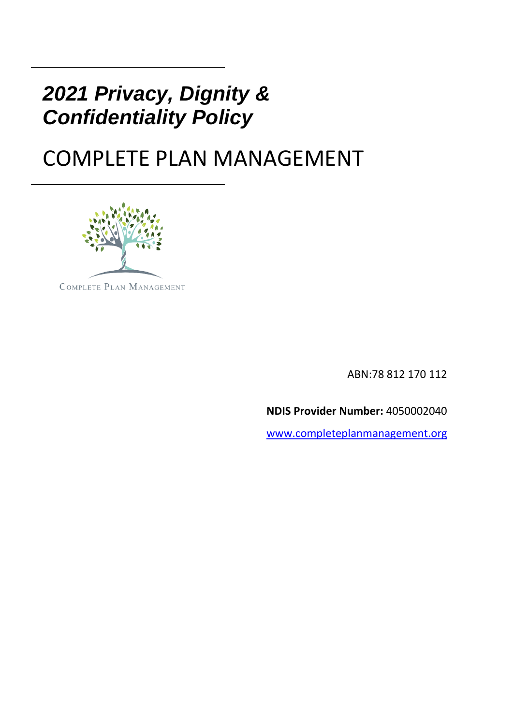## *2021 Privacy, Dignity & Confidentiality Policy*

# COMPLETE PLAN MANAGEMENT



ABN:78 812 170 112

**NDIS Provider Number:** 4050002040

[www.completeplanmanagement.org](about:blank)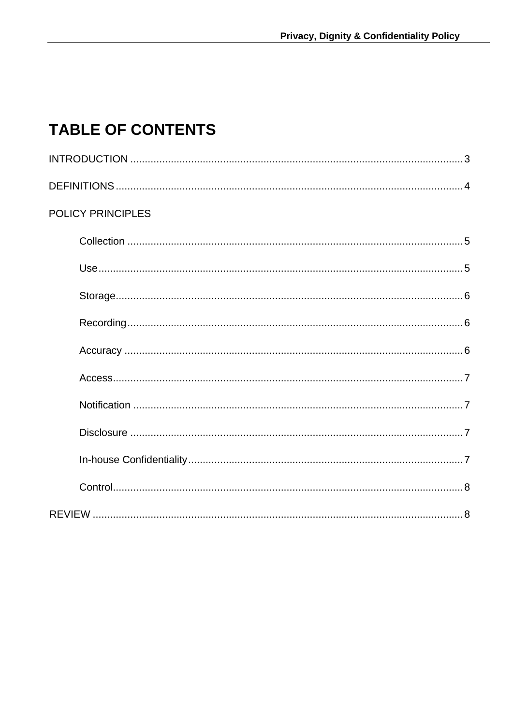### **TABLE OF CONTENTS**

| <b>POLICY PRINCIPLES</b> |  |
|--------------------------|--|
|                          |  |
|                          |  |
|                          |  |
|                          |  |
|                          |  |
|                          |  |
|                          |  |
|                          |  |
|                          |  |
|                          |  |
|                          |  |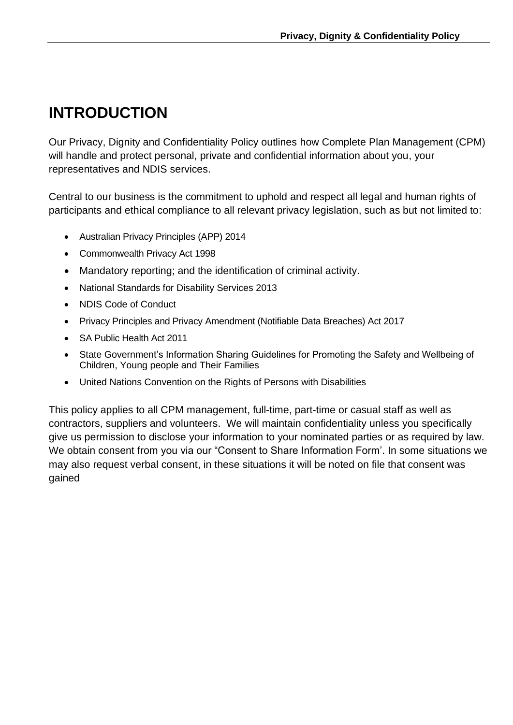### **INTRODUCTION**

Our Privacy, Dignity and Confidentiality Policy outlines how Complete Plan Management (CPM) will handle and protect personal, private and confidential information about you, your representatives and NDIS services.

Central to our business is the commitment to uphold and respect all legal and human rights of participants and ethical compliance to all relevant privacy legislation, such as but not limited to:

- Australian Privacy Principles (APP) 2014
- Commonwealth Privacy Act 1998
- Mandatory reporting; and the identification of criminal activity.
- National Standards for Disability Services 2013
- NDIS Code of Conduct
- Privacy Principles and Privacy Amendment (Notifiable Data Breaches) Act 2017
- SA Public Health Act 2011
- State Government's Information Sharing Guidelines for Promoting the Safety and Wellbeing of Children, Young people and Their Families
- United Nations Convention on the Rights of Persons with Disabilities

This policy applies to all CPM management, full-time, part-time or casual staff as well as contractors, suppliers and volunteers. We will maintain confidentiality unless you specifically give us permission to disclose your information to your nominated parties or as required by law. We obtain consent from you via our "Consent to Share Information Form'. In some situations we may also request verbal consent, in these situations it will be noted on file that consent was gained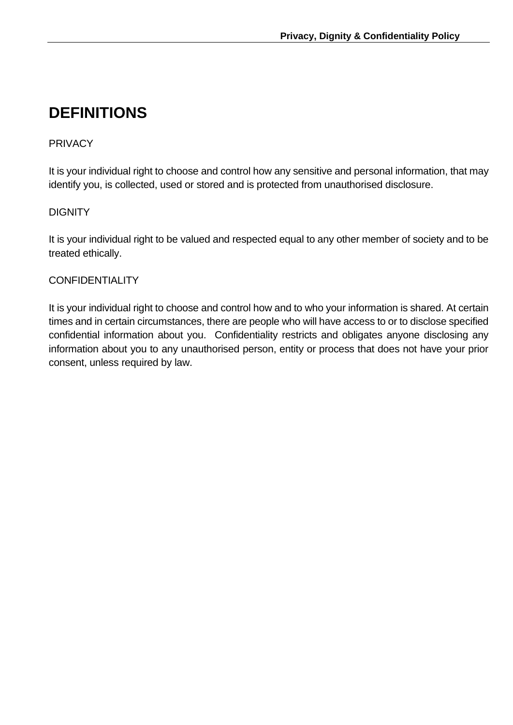### **DEFINITIONS**

#### PRIVACY

It is your individual right to choose and control how any sensitive and personal information, that may identify you, is collected, used or stored and is protected from unauthorised disclosure.

#### **DIGNITY**

It is your individual right to be valued and respected equal to any other member of society and to be treated ethically.

#### CONFIDENTIALITY

It is your individual right to choose and control how and to who your information is shared. At certain times and in certain circumstances, there are people who will have access to or to disclose specified confidential information about you. Confidentiality restricts and obligates anyone disclosing any information about you to any unauthorised person, entity or process that does not have your prior consent, unless required by law.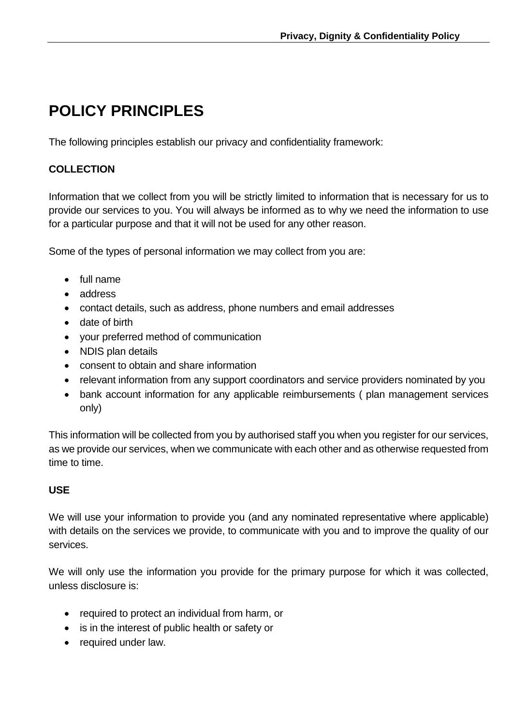### **POLICY PRINCIPLES**

The following principles establish our privacy and confidentiality framework:

#### **COLLECTION**

Information that we collect from you will be strictly limited to information that is necessary for us to provide our services to you. You will always be informed as to why we need the information to use for a particular purpose and that it will not be used for any other reason.

Some of the types of personal information we may collect from you are:

- full name
- address
- contact details, such as address, phone numbers and email addresses
- date of birth
- your preferred method of communication
- NDIS plan details
- consent to obtain and share information
- relevant information from any support coordinators and service providers nominated by you
- bank account information for any applicable reimbursements ( plan management services only)

This information will be collected from you by authorised staff you when you register for our services, as we provide our services, when we communicate with each other and as otherwise requested from time to time.

#### **USE**

We will use your information to provide you (and any nominated representative where applicable) with details on the services we provide, to communicate with you and to improve the quality of our services.

We will only use the information you provide for the primary purpose for which it was collected, unless disclosure is:

- required to protect an individual from harm, or
- is in the interest of public health or safety or
- required under law.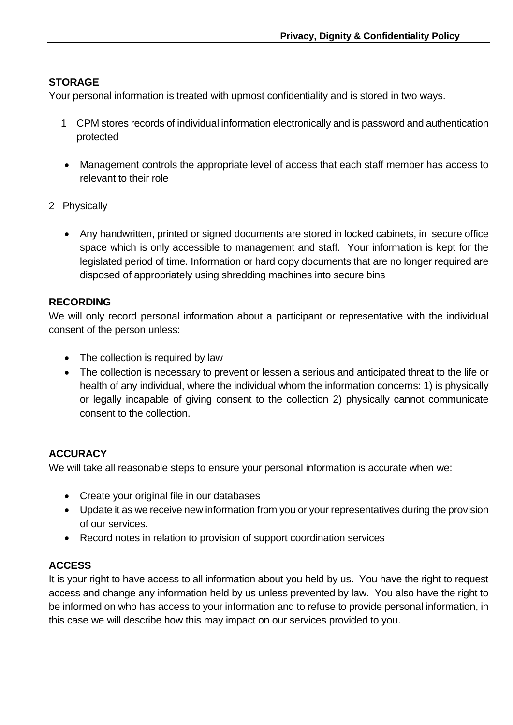#### **STORAGE**

Your personal information is treated with upmost confidentiality and is stored in two ways.

- 1 CPM stores records of individual information electronically and is password and authentication protected
- Management controls the appropriate level of access that each staff member has access to relevant to their role
- 2 Physically
	- Any handwritten, printed or signed documents are stored in locked cabinets, in secure office space which is only accessible to management and staff. Your information is kept for the legislated period of time. Information or hard copy documents that are no longer required are disposed of appropriately using shredding machines into secure bins

#### **RECORDING**

We will only record personal information about a participant or representative with the individual consent of the person unless:

- The collection is required by law
- The collection is necessary to prevent or lessen a serious and anticipated threat to the life or health of any individual, where the individual whom the information concerns: 1) is physically or legally incapable of giving consent to the collection 2) physically cannot communicate consent to the collection.

#### **ACCURACY**

We will take all reasonable steps to ensure your personal information is accurate when we:

- Create your original file in our databases
- Update it as we receive new information from you or your representatives during the provision of our services.
- Record notes in relation to provision of support coordination services

#### **ACCESS**

It is your right to have access to all information about you held by us. You have the right to request access and change any information held by us unless prevented by law. You also have the right to be informed on who has access to your information and to refuse to provide personal information, in this case we will describe how this may impact on our services provided to you.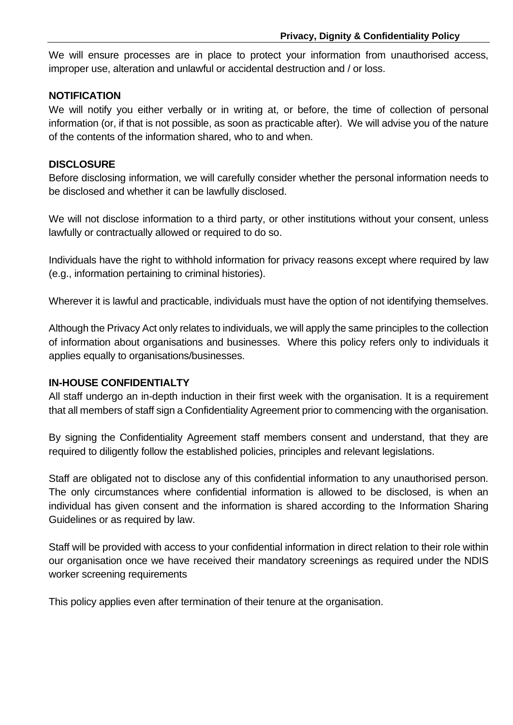We will ensure processes are in place to protect your information from unauthorised access, improper use, alteration and unlawful or accidental destruction and / or loss.

#### **NOTIFICATION**

We will notify you either verbally or in writing at, or before, the time of collection of personal information (or, if that is not possible, as soon as practicable after). We will advise you of the nature of the contents of the information shared, who to and when.

#### **DISCLOSURE**

Before disclosing information, we will carefully consider whether the personal information needs to be disclosed and whether it can be lawfully disclosed.

We will not disclose information to a third party, or other institutions without your consent, unless lawfully or contractually allowed or required to do so.

Individuals have the right to withhold information for privacy reasons except where required by law (e.g., information pertaining to criminal histories).

Wherever it is lawful and practicable, individuals must have the option of not identifying themselves.

Although the Privacy Act only relates to individuals, we will apply the same principles to the collection of information about organisations and businesses. Where this policy refers only to individuals it applies equally to organisations/businesses.

#### **IN-HOUSE CONFIDENTIALTY**

All staff undergo an in-depth induction in their first week with the organisation. It is a requirement that all members of staff sign a Confidentiality Agreement prior to commencing with the organisation.

By signing the Confidentiality Agreement staff members consent and understand, that they are required to diligently follow the established policies, principles and relevant legislations.

Staff are obligated not to disclose any of this confidential information to any unauthorised person. The only circumstances where confidential information is allowed to be disclosed, is when an individual has given consent and the information is shared according to the Information Sharing Guidelines or as required by law.

Staff will be provided with access to your confidential information in direct relation to their role within our organisation once we have received their mandatory screenings as required under the NDIS worker screening requirements

This policy applies even after termination of their tenure at the organisation.